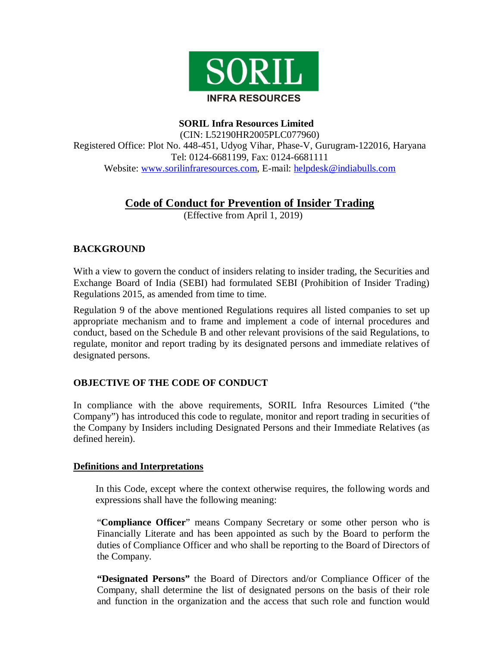

 **SORIL Infra Resources Limited**

(CIN: L52190HR2005PLC077960) Registered Office: Plot No. 448-451, Udyog Vihar, Phase-V, Gurugram-122016, Haryana Tel: 0124-6681199, Fax: 0124-6681111 Website: www.sorilinfraresources.com, E-mail: helpdesk@indiabulls.com

# **Code of Conduct for Prevention of Insider Trading**

(Effective from April 1, 2019)

## **BACKGROUND**

With a view to govern the conduct of insiders relating to insider trading, the Securities and Exchange Board of India (SEBI) had formulated SEBI (Prohibition of Insider Trading) Regulations 2015, as amended from time to time.

Regulation 9 of the above mentioned Regulations requires all listed companies to set up appropriate mechanism and to frame and implement a code of internal procedures and conduct, based on the Schedule B and other relevant provisions of the said Regulations, to regulate, monitor and report trading by its designated persons and immediate relatives of designated persons.

## **OBJECTIVE OF THE CODE OF CONDUCT**

In compliance with the above requirements, SORIL Infra Resources Limited ("the Company") has introduced this code to regulate, monitor and report trading in securities of the Company by Insiders including Designated Persons and their Immediate Relatives (as defined herein).

## **Definitions and Interpretations**

In this Code, except where the context otherwise requires, the following words and expressions shall have the following meaning:

"**Compliance Officer**" means Company Secretary or some other person who is Financially Literate and has been appointed as such by the Board to perform the duties of Compliance Officer and who shall be reporting to the Board of Directors of the Company.

**"Designated Persons"** the Board of Directors and/or Compliance Officer of the Company, shall determine the list of designated persons on the basis of their role and function in the organization and the access that such role and function would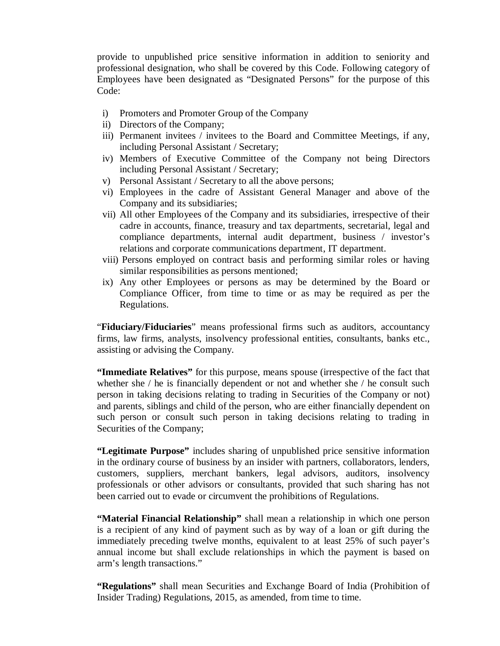provide to unpublished price sensitive information in addition to seniority and professional designation, who shall be covered by this Code. Following category of Employees have been designated as "Designated Persons" for the purpose of this Code:

- i) Promoters and Promoter Group of the Company
- ii) Directors of the Company;
- iii) Permanent invitees / invitees to the Board and Committee Meetings, if any, including Personal Assistant / Secretary;
- iv) Members of Executive Committee of the Company not being Directors including Personal Assistant / Secretary;
- v) Personal Assistant / Secretary to all the above persons;
- vi) Employees in the cadre of Assistant General Manager and above of the Company and its subsidiaries;
- vii) All other Employees of the Company and its subsidiaries, irrespective of their cadre in accounts, finance, treasury and tax departments, secretarial, legal and compliance departments, internal audit department, business / investor's relations and corporate communications department, IT department.
- viii) Persons employed on contract basis and performing similar roles or having similar responsibilities as persons mentioned;
- ix) Any other Employees or persons as may be determined by the Board or Compliance Officer, from time to time or as may be required as per the Regulations.

"**Fiduciary/Fiduciaries**" means professional firms such as auditors, accountancy firms, law firms, analysts, insolvency professional entities, consultants, banks etc., assisting or advising the Company.

**"Immediate Relatives"** for this purpose, means spouse (irrespective of the fact that whether she / he is financially dependent or not and whether she / he consult such person in taking decisions relating to trading in Securities of the Company or not) and parents, siblings and child of the person, who are either financially dependent on such person or consult such person in taking decisions relating to trading in Securities of the Company;

**"Legitimate Purpose"** includes sharing of unpublished price sensitive information in the ordinary course of business by an insider with partners, collaborators, lenders, customers, suppliers, merchant bankers, legal advisors, auditors, insolvency professionals or other advisors or consultants, provided that such sharing has not been carried out to evade or circumvent the prohibitions of Regulations.

**"Material Financial Relationship"** shall mean a relationship in which one person is a recipient of any kind of payment such as by way of a loan or gift during the immediately preceding twelve months, equivalent to at least 25% of such payer's annual income but shall exclude relationships in which the payment is based on arm's length transactions."

**"Regulations"** shall mean Securities and Exchange Board of India (Prohibition of Insider Trading) Regulations, 2015, as amended, from time to time.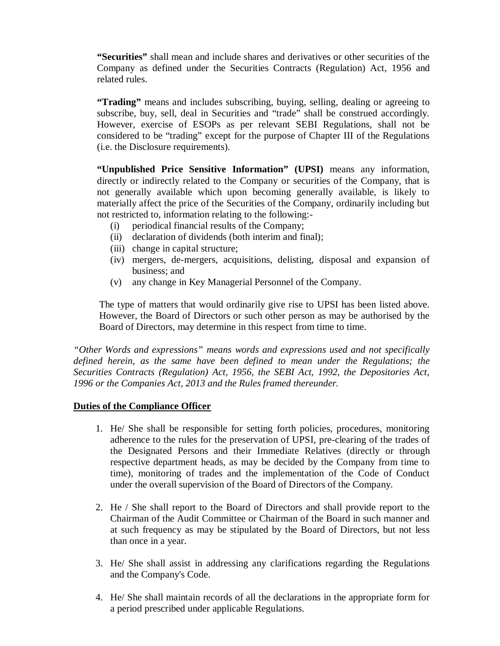**"Securities"** shall mean and include shares and derivatives or other securities of the Company as defined under the Securities Contracts (Regulation) Act, 1956 and related rules.

**"Trading"** means and includes subscribing, buying, selling, dealing or agreeing to subscribe, buy, sell, deal in Securities and "trade" shall be construed accordingly. However, exercise of ESOPs as per relevant SEBI Regulations, shall not be considered to be "trading" except for the purpose of Chapter III of the Regulations (i.e. the Disclosure requirements).

**"Unpublished Price Sensitive Information" (UPSI)** means any information, directly or indirectly related to the Company or securities of the Company, that is not generally available which upon becoming generally available, is likely to materially affect the price of the Securities of the Company, ordinarily including but not restricted to, information relating to the following:-

- (i) periodical financial results of the Company;
- (ii) declaration of dividends (both interim and final);
- (iii) change in capital structure;
- (iv) mergers, de-mergers, acquisitions, delisting, disposal and expansion of business; and
- (v) any change in Key Managerial Personnel of the Company.

The type of matters that would ordinarily give rise to UPSI has been listed above. However, the Board of Directors or such other person as may be authorised by the Board of Directors, may determine in this respect from time to time.

*"Other Words and expressions" means words and expressions used and not specifically defined herein, as the same have been defined to mean under the Regulations; the Securities Contracts (Regulation) Act, 1956, the SEBI Act, 1992, the Depositories Act, 1996 or the Companies Act, 2013 and the Rules framed thereunder.*

#### **Duties of the Compliance Officer**

- 1. He/ She shall be responsible for setting forth policies, procedures, monitoring adherence to the rules for the preservation of UPSI, pre-clearing of the trades of the Designated Persons and their Immediate Relatives (directly or through respective department heads, as may be decided by the Company from time to time), monitoring of trades and the implementation of the Code of Conduct under the overall supervision of the Board of Directors of the Company.
- 2. He / She shall report to the Board of Directors and shall provide report to the Chairman of the Audit Committee or Chairman of the Board in such manner and at such frequency as may be stipulated by the Board of Directors, but not less than once in a year.
- 3. He/ She shall assist in addressing any clarifications regarding the Regulations and the Company's Code.
- 4. He/ She shall maintain records of all the declarations in the appropriate form for a period prescribed under applicable Regulations.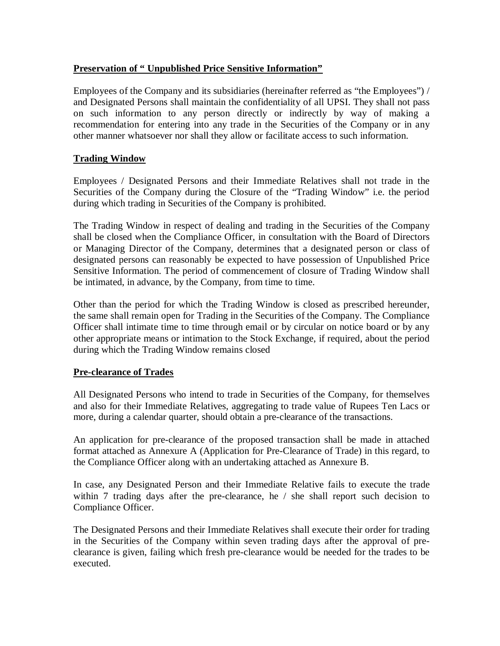## **Preservation of " Unpublished Price Sensitive Information"**

Employees of the Company and its subsidiaries (hereinafter referred as "the Employees") / and Designated Persons shall maintain the confidentiality of all UPSI. They shall not pass on such information to any person directly or indirectly by way of making a recommendation for entering into any trade in the Securities of the Company or in any other manner whatsoever nor shall they allow or facilitate access to such information.

## **Trading Window**

Employees / Designated Persons and their Immediate Relatives shall not trade in the Securities of the Company during the Closure of the "Trading Window" i.e. the period during which trading in Securities of the Company is prohibited.

The Trading Window in respect of dealing and trading in the Securities of the Company shall be closed when the Compliance Officer, in consultation with the Board of Directors or Managing Director of the Company, determines that a designated person or class of designated persons can reasonably be expected to have possession of Unpublished Price Sensitive Information. The period of commencement of closure of Trading Window shall be intimated, in advance, by the Company, from time to time.

Other than the period for which the Trading Window is closed as prescribed hereunder, the same shall remain open for Trading in the Securities of the Company. The Compliance Officer shall intimate time to time through email or by circular on notice board or by any other appropriate means or intimation to the Stock Exchange, if required, about the period during which the Trading Window remains closed

#### **Pre-clearance of Trades**

All Designated Persons who intend to trade in Securities of the Company, for themselves and also for their Immediate Relatives, aggregating to trade value of Rupees Ten Lacs or more, during a calendar quarter, should obtain a pre-clearance of the transactions.

An application for pre-clearance of the proposed transaction shall be made in attached format attached as Annexure A (Application for Pre-Clearance of Trade) in this regard, to the Compliance Officer along with an undertaking attached as Annexure B.

In case, any Designated Person and their Immediate Relative fails to execute the trade within 7 trading days after the pre-clearance, he / she shall report such decision to Compliance Officer.

The Designated Persons and their Immediate Relatives shall execute their order for trading in the Securities of the Company within seven trading days after the approval of preclearance is given, failing which fresh pre-clearance would be needed for the trades to be executed.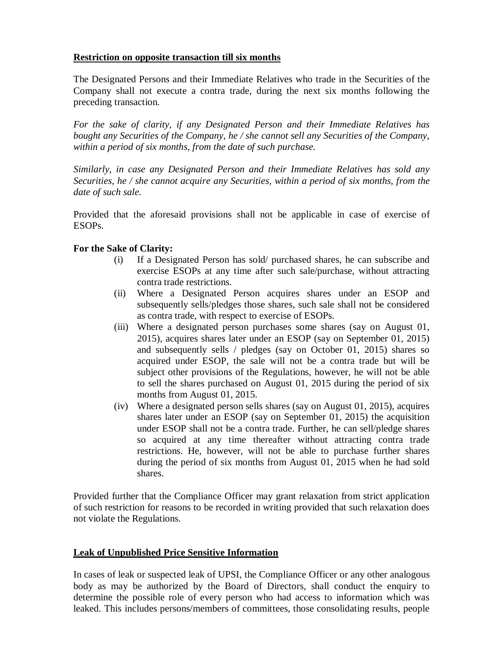## **Restriction on opposite transaction till six months**

The Designated Persons and their Immediate Relatives who trade in the Securities of the Company shall not execute a contra trade, during the next six months following the preceding transaction.

*For the sake of clarity, if any Designated Person and their Immediate Relatives has bought any Securities of the Company, he / she cannot sell any Securities of the Company, within a period of six months, from the date of such purchase.* 

*Similarly, in case any Designated Person and their Immediate Relatives has sold any Securities, he / she cannot acquire any Securities, within a period of six months, from the date of such sale.*

Provided that the aforesaid provisions shall not be applicable in case of exercise of ESOPs.

## **For the Sake of Clarity:**

- (i) If a Designated Person has sold/ purchased shares, he can subscribe and exercise ESOPs at any time after such sale/purchase, without attracting contra trade restrictions.
- (ii) Where a Designated Person acquires shares under an ESOP and subsequently sells/pledges those shares, such sale shall not be considered as contra trade, with respect to exercise of ESOPs.
- (iii) Where a designated person purchases some shares (say on August 01, 2015), acquires shares later under an ESOP (say on September 01, 2015) and subsequently sells / pledges (say on October 01, 2015) shares so acquired under ESOP, the sale will not be a contra trade but will be subject other provisions of the Regulations, however, he will not be able to sell the shares purchased on August 01, 2015 during the period of six months from August 01, 2015.
- (iv) Where a designated person sells shares (say on August 01, 2015), acquires shares later under an ESOP (say on September 01, 2015) the acquisition under ESOP shall not be a contra trade. Further, he can sell/pledge shares so acquired at any time thereafter without attracting contra trade restrictions. He, however, will not be able to purchase further shares during the period of six months from August 01, 2015 when he had sold shares.

Provided further that the Compliance Officer may grant relaxation from strict application of such restriction for reasons to be recorded in writing provided that such relaxation does not violate the Regulations.

#### **Leak of Unpublished Price Sensitive Information**

In cases of leak or suspected leak of UPSI, the Compliance Officer or any other analogous body as may be authorized by the Board of Directors, shall conduct the enquiry to determine the possible role of every person who had access to information which was leaked. This includes persons/members of committees, those consolidating results, people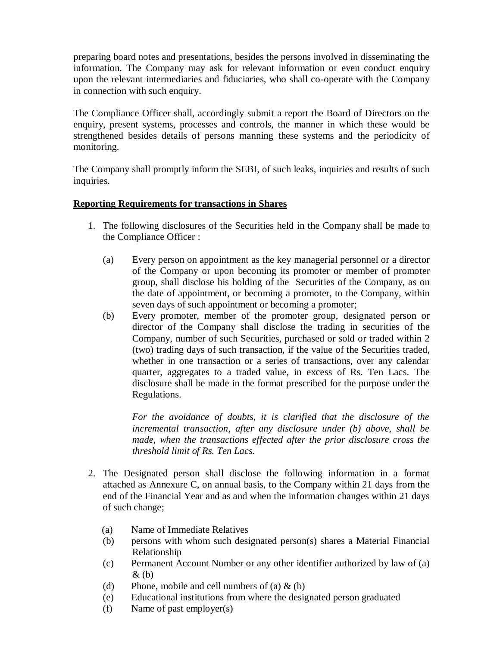preparing board notes and presentations, besides the persons involved in disseminating the information. The Company may ask for relevant information or even conduct enquiry upon the relevant intermediaries and fiduciaries, who shall co-operate with the Company in connection with such enquiry.

The Compliance Officer shall, accordingly submit a report the Board of Directors on the enquiry, present systems, processes and controls, the manner in which these would be strengthened besides details of persons manning these systems and the periodicity of monitoring.

The Company shall promptly inform the SEBI, of such leaks, inquiries and results of such inquiries.

## **Reporting Requirements for transactions in Shares**

- 1. The following disclosures of the Securities held in the Company shall be made to the Compliance Officer :
	- (a) Every person on appointment as the key managerial personnel or a director of the Company or upon becoming its promoter or member of promoter group, shall disclose his holding of the Securities of the Company, as on the date of appointment, or becoming a promoter, to the Company, within seven days of such appointment or becoming a promoter;
	- (b) Every promoter, member of the promoter group, designated person or director of the Company shall disclose the trading in securities of the Company, number of such Securities, purchased or sold or traded within 2 (two) trading days of such transaction, if the value of the Securities traded, whether in one transaction or a series of transactions, over any calendar quarter, aggregates to a traded value, in excess of Rs. Ten Lacs. The disclosure shall be made in the format prescribed for the purpose under the Regulations.

*For the avoidance of doubts, it is clarified that the disclosure of the incremental transaction, after any disclosure under (b) above, shall be made, when the transactions effected after the prior disclosure cross the threshold limit of Rs. Ten Lacs.*

- 2. The Designated person shall disclose the following information in a format attached as Annexure C, on annual basis, to the Company within 21 days from the end of the Financial Year and as and when the information changes within 21 days of such change;
	- (a) Name of Immediate Relatives
	- (b) persons with whom such designated person(s) shares a Material Financial Relationship
	- (c) Permanent Account Number or any other identifier authorized by law of (a)  $\&$  (b)
	- (d) Phone, mobile and cell numbers of (a)  $\&$  (b)
	- (e) Educational institutions from where the designated person graduated
	- (f) Name of past employer(s)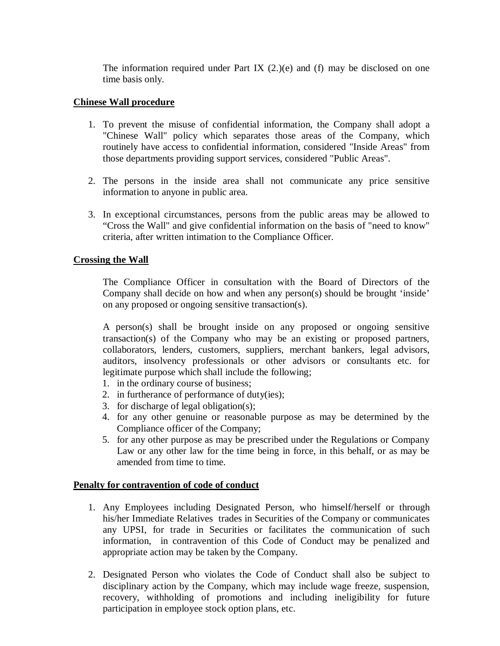The information required under Part IX  $(2.)(e)$  and (f) may be disclosed on one time basis only.

#### **Chinese Wall procedure**

- 1. To prevent the misuse of confidential information, the Company shall adopt a "Chinese Wall" policy which separates those areas of the Company, which routinely have access to confidential information, considered "Inside Areas" from those departments providing support services, considered "Public Areas".
- 2. The persons in the inside area shall not communicate any price sensitive information to anyone in public area.
- 3. In exceptional circumstances, persons from the public areas may be allowed to "Cross the Wall" and give confidential information on the basis of "need to know" criteria, after written intimation to the Compliance Officer.

#### **Crossing the Wall**

The Compliance Officer in consultation with the Board of Directors of the Company shall decide on how and when any person(s) should be brought 'inside' on any proposed or ongoing sensitive transaction(s).

A person(s) shall be brought inside on any proposed or ongoing sensitive transaction(s) of the Company who may be an existing or proposed partners, collaborators, lenders, customers, suppliers, merchant bankers, legal advisors, auditors, insolvency professionals or other advisors or consultants etc. for legitimate purpose which shall include the following;

- 1. in the ordinary course of business;
- 2. in furtherance of performance of duty(ies);
- 3. for discharge of legal obligation(s);
- 4. for any other genuine or reasonable purpose as may be determined by the Compliance officer of the Company;
- 5. for any other purpose as may be prescribed under the Regulations or Company Law or any other law for the time being in force, in this behalf, or as may be amended from time to time.

#### **Penalty for contravention of code of conduct**

- 1. Any Employees including Designated Person, who himself/herself or through his/her Immediate Relatives trades in Securities of the Company or communicates any UPSI, for trade in Securities or facilitates the communication of such information, in contravention of this Code of Conduct may be penalized and appropriate action may be taken by the Company.
- 2. Designated Person who violates the Code of Conduct shall also be subject to disciplinary action by the Company, which may include wage freeze, suspension, recovery, withholding of promotions and including ineligibility for future participation in employee stock option plans, etc.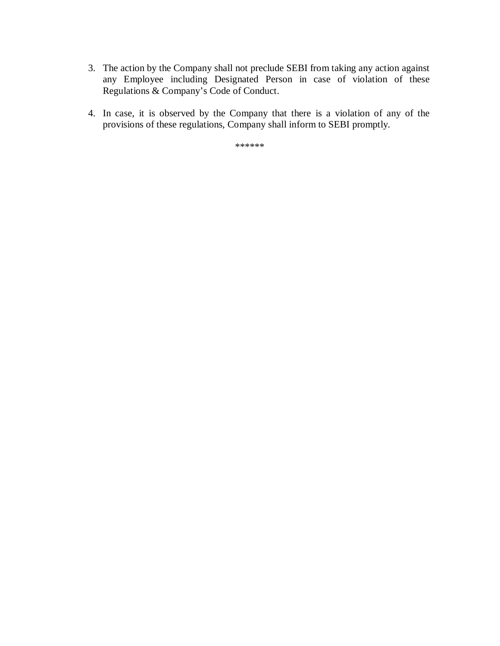- 3. The action by the Company shall not preclude SEBI from taking any action against any Employee including Designated Person in case of violation of these Regulations & Company's Code of Conduct.
- 4. In case, it is observed by the Company that there is a violation of any of the provisions of these regulations, Company shall inform to SEBI promptly.

\*\*\*\*\*\*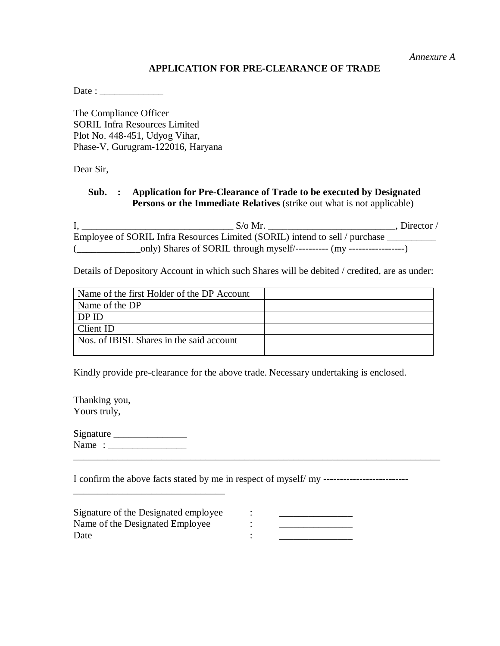*Annexure A*

## **APPLICATION FOR PRE-CLEARANCE OF TRADE**

Date : \_\_\_\_\_\_\_\_\_\_\_\_\_

The Compliance Officer SORIL Infra Resources Limited Plot No. 448-451, Udyog Vihar, Phase-V, Gurugram-122016, Haryana

Dear Sir,

## **Sub. : Application for Pre-Clearance of Trade to be executed by Designated Persons or the Immediate Relatives** (strike out what is not applicable)

I, \_\_\_\_\_\_\_\_\_\_\_\_\_\_\_\_\_\_\_\_\_\_\_\_\_\_\_\_\_\_\_ S/o Mr. \_\_\_\_\_\_\_\_\_\_\_\_\_\_\_\_\_\_\_\_\_\_\_\_\_\_, Director / Employee of SORIL Infra Resources Limited (SORIL) intend to sell / purchase \_\_\_\_\_\_\_\_\_ (\_\_\_\_\_\_\_\_\_\_\_\_\_only) Shares of SORIL through myself/---------- (my -----------------)

Details of Depository Account in which such Shares will be debited / credited, are as under:

| Name of the first Holder of the DP Account |  |
|--------------------------------------------|--|
| Name of the DP                             |  |
| DP ID                                      |  |
| Client ID                                  |  |
| Nos. of IBISL Shares in the said account   |  |
|                                            |  |

Kindly provide pre-clearance for the above trade. Necessary undertaking is enclosed.

Thanking you, Yours truly,

Signature \_\_\_\_\_\_\_\_\_\_\_\_\_\_\_ Name : \_\_\_\_\_\_\_\_\_\_\_\_\_\_\_\_\_\_\_\_\_\_\_\_\_\_\_\_\_\_\_\_\_\_\_\_\_\_\_\_\_\_\_\_\_\_\_\_\_\_\_\_\_\_\_\_\_\_\_\_\_\_\_\_\_\_\_\_\_\_\_\_\_\_\_

\_\_\_\_\_\_\_\_\_\_\_\_\_\_\_\_\_\_\_\_\_\_\_\_\_\_\_\_\_\_\_

I confirm the above facts stated by me in respect of myself/ my --------------------------

| Signature of the Designated employee |  |
|--------------------------------------|--|
| Name of the Designated Employee      |  |
| Date                                 |  |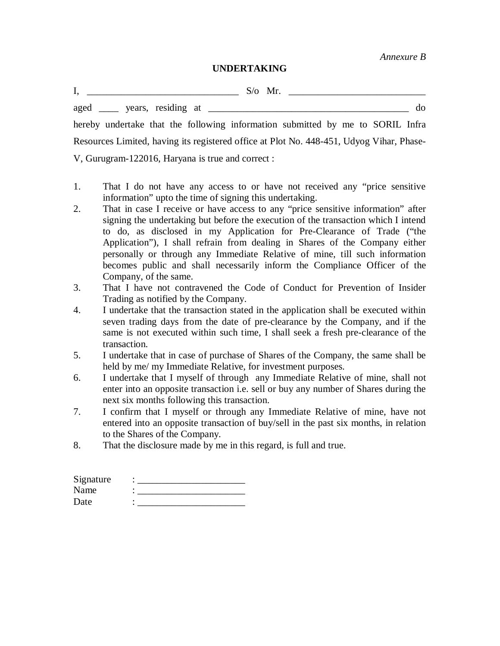*Annexure B*

#### **UNDERTAKING**

I, \_\_\_\_\_\_\_\_\_\_\_\_\_\_\_\_\_\_\_\_\_\_\_\_\_\_\_\_\_\_\_ S/o Mr. \_\_\_\_\_\_\_\_\_\_\_\_\_\_\_\_\_\_\_\_\_\_\_\_\_\_\_\_

aged vears, residing at  $\omega$ 

hereby undertake that the following information submitted by me to SORIL Infra Resources Limited, having its registered office at Plot No. 448-451, Udyog Vihar, Phase-V, Gurugram-122016, Haryana is true and correct :

- 1. That I do not have any access to or have not received any "price sensitive information" upto the time of signing this undertaking.
- 2. That in case I receive or have access to any "price sensitive information" after signing the undertaking but before the execution of the transaction which I intend to do, as disclosed in my Application for Pre-Clearance of Trade ("the Application"), I shall refrain from dealing in Shares of the Company either personally or through any Immediate Relative of mine, till such information becomes public and shall necessarily inform the Compliance Officer of the Company, of the same.
- 3. That I have not contravened the Code of Conduct for Prevention of Insider Trading as notified by the Company.
- 4. I undertake that the transaction stated in the application shall be executed within seven trading days from the date of pre-clearance by the Company, and if the same is not executed within such time, I shall seek a fresh pre-clearance of the transaction.
- 5. I undertake that in case of purchase of Shares of the Company, the same shall be held by me/ my Immediate Relative, for investment purposes.
- 6. I undertake that I myself of through any Immediate Relative of mine, shall not enter into an opposite transaction i.e. sell or buy any number of Shares during the next six months following this transaction.
- 7. I confirm that I myself or through any Immediate Relative of mine, have not entered into an opposite transaction of buy/sell in the past six months, in relation to the Shares of the Company.
- 8. That the disclosure made by me in this regard, is full and true.

| Signature |  |
|-----------|--|
| Name      |  |
| Date      |  |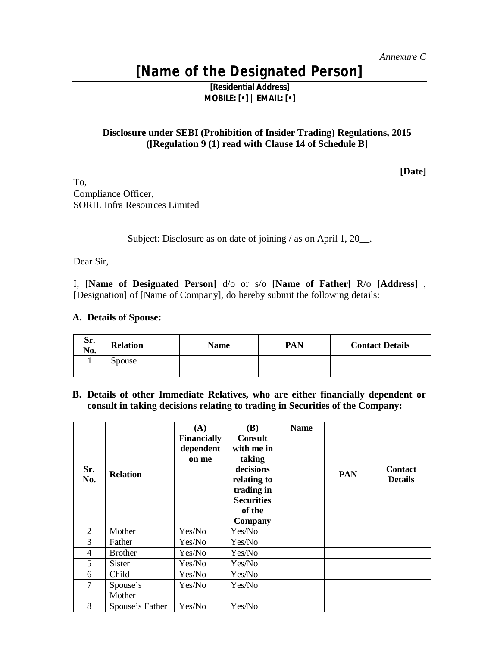# **[Name of the Designated Person]**

**[Residential Address] MOBILE: [•] | EMAIL: [•]** 

### **Disclosure under SEBI (Prohibition of Insider Trading) Regulations, 2015 ([Regulation 9 (1) read with Clause 14 of Schedule B]**

**[Date]**

To, Compliance Officer, SORIL Infra Resources Limited

Subject: Disclosure as on date of joining / as on April 1, 20\_\_.

Dear Sir,

I, **[Name of Designated Person]** d/o or s/o **[Name of Father]** R/o **[Address]** , [Designation] of [Name of Company], do hereby submit the following details:

#### **A. Details of Spouse:**

| Sr.<br>No. | <b>Relation</b> | Name | PAN | <b>Contact Details</b> |
|------------|-----------------|------|-----|------------------------|
|            | Spouse          |      |     |                        |
|            |                 |      |     |                        |

**B. Details of other Immediate Relatives, who are either financially dependent or consult in taking decisions relating to trading in Securities of the Company:**

| Sr.<br>No.     | <b>Relation</b>    | (A)<br><b>Financially</b><br>dependent<br>on me | <b>(B)</b><br><b>Consult</b><br>with me in<br>taking<br>decisions<br>relating to<br>trading in<br><b>Securities</b><br>of the<br>Company | <b>Name</b> | <b>PAN</b> | <b>Contact</b><br><b>Details</b> |
|----------------|--------------------|-------------------------------------------------|------------------------------------------------------------------------------------------------------------------------------------------|-------------|------------|----------------------------------|
| $\mathfrak{D}$ | Mother             | Yes/No                                          | Yes/No                                                                                                                                   |             |            |                                  |
| 3              | Father             | Yes/No                                          | Yes/No                                                                                                                                   |             |            |                                  |
| $\overline{4}$ | <b>Brother</b>     | Yes/No                                          | Yes/No                                                                                                                                   |             |            |                                  |
| 5              | <b>Sister</b>      | Yes/No                                          | Yes/No                                                                                                                                   |             |            |                                  |
| 6              | Child              | Yes/No                                          | Yes/No                                                                                                                                   |             |            |                                  |
| 7              | Spouse's<br>Mother | Yes/No                                          | Yes/No                                                                                                                                   |             |            |                                  |
| 8              | Spouse's Father    | Yes/No                                          | Yes/No                                                                                                                                   |             |            |                                  |